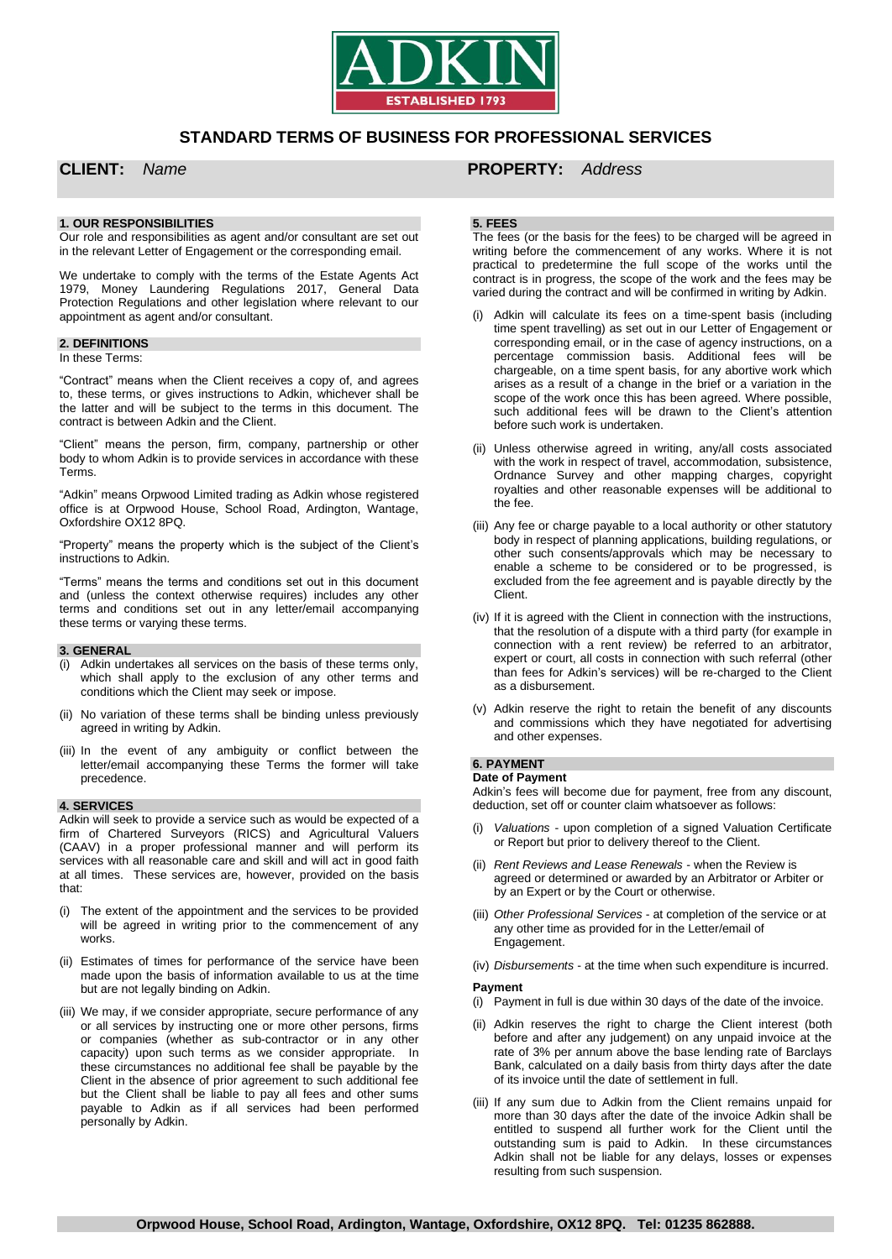

# **STANDARD TERMS OF BUSINESS FOR PROFESSIONAL SERVICES**

# **1. OUR RESPONSIBILITIES**

Our role and responsibilities as agent and/or consultant are set out in the relevant Letter of Engagement or the corresponding email.

We undertake to comply with the terms of the Estate Agents Act 1979, Money Laundering Regulations 2017, General Data Protection Regulations and other legislation where relevant to our appointment as agent and/or consultant.

# **2. DEFINITIONS**

# In these Terms:

"Contract" means when the Client receives a copy of, and agrees to, these terms, or gives instructions to Adkin, whichever shall be the latter and will be subject to the terms in this document. The contract is between Adkin and the Client.

"Client" means the person, firm, company, partnership or other body to whom Adkin is to provide services in accordance with these Terms.

"Adkin" means Orpwood Limited trading as Adkin whose registered office is at Orpwood House, School Road, Ardington, Wantage, Oxfordshire OX12 8PQ.

"Property" means the property which is the subject of the Client's instructions to Adkin.

"Terms" means the terms and conditions set out in this document and (unless the context otherwise requires) includes any other terms and conditions set out in any letter/email accompanying these terms or varying these terms.

#### **3. GENERAL**

- (i) Adkin undertakes all services on the basis of these terms only, which shall apply to the exclusion of any other terms and conditions which the Client may seek or impose.
- (ii) No variation of these terms shall be binding unless previously agreed in writing by Adkin.
- (iii) In the event of any ambiguity or conflict between the letter/email accompanying these Terms the former will take precedence.

#### **4. SERVICES**

Adkin will seek to provide a service such as would be expected of a firm of Chartered Surveyors (RICS) and Agricultural Valuers (CAAV) in a proper professional manner and will perform its services with all reasonable care and skill and will act in good faith at all times. These services are, however, provided on the basis that:

- (i) The extent of the appointment and the services to be provided will be agreed in writing prior to the commencement of any works.
- (ii) Estimates of times for performance of the service have been made upon the basis of information available to us at the time but are not legally binding on Adkin.
- (iii) We may, if we consider appropriate, secure performance of any or all services by instructing one or more other persons, firms or companies (whether as sub-contractor or in any other capacity) upon such terms as we consider appropriate. In these circumstances no additional fee shall be payable by the Client in the absence of prior agreement to such additional fee but the Client shall be liable to pay all fees and other sums payable to Adkin as if all services had been performed personally by Adkin.

# **CLIENT:** *Name* **PROPERTY:** *Address*

## **5. FEES**

The fees (or the basis for the fees) to be charged will be agreed in writing before the commencement of any works. Where it is not practical to predetermine the full scope of the works until the contract is in progress, the scope of the work and the fees may be varied during the contract and will be confirmed in writing by Adkin.

- (i) Adkin will calculate its fees on a time-spent basis (including time spent travelling) as set out in our Letter of Engagement or corresponding email, or in the case of agency instructions, on a percentage commission basis. Additional fees will be chargeable, on a time spent basis, for any abortive work which arises as a result of a change in the brief or a variation in the scope of the work once this has been agreed. Where possible, such additional fees will be drawn to the Client's attention before such work is undertaken.
- (ii) Unless otherwise agreed in writing, any/all costs associated with the work in respect of travel, accommodation, subsistence, Ordnance Survey and other mapping charges, copyright royalties and other reasonable expenses will be additional to the fee.
- (iii) Any fee or charge payable to a local authority or other statutory body in respect of planning applications, building regulations, or other such consents/approvals which may be necessary to enable a scheme to be considered or to be progressed, is excluded from the fee agreement and is payable directly by the Client.
- (iv) If it is agreed with the Client in connection with the instructions, that the resolution of a dispute with a third party (for example in connection with a rent review) be referred to an arbitrator, expert or court, all costs in connection with such referral (other than fees for Adkin's services) will be re-charged to the Client as a disbursement.
- (v) Adkin reserve the right to retain the benefit of any discounts and commissions which they have negotiated for advertising and other expenses.

# **6. PAYMENT**

# **Date of Payment**

Adkin's fees will become due for payment, free from any discount, deduction, set off or counter claim whatsoever as follows:

- (i) *Valuations* upon completion of a signed Valuation Certificate or Report but prior to delivery thereof to the Client.
- (ii) *Rent Reviews and Lease Renewals* when the Review is agreed or determined or awarded by an Arbitrator or Arbiter or by an Expert or by the Court or otherwise.
- (iii) *Other Professional Services* at completion of the service or at any other time as provided for in the Letter/email of Engagement.
- (iv) *Disbursements* at the time when such expenditure is incurred.

#### **Payment**

- (i) Payment in full is due within 30 days of the date of the invoice.
- (ii) Adkin reserves the right to charge the Client interest (both before and after any judgement) on any unpaid invoice at the rate of 3% per annum above the base lending rate of Barclays Bank, calculated on a daily basis from thirty days after the date of its invoice until the date of settlement in full.
- (iii) If any sum due to Adkin from the Client remains unpaid for more than 30 days after the date of the invoice Adkin shall be entitled to suspend all further work for the Client until the outstanding sum is paid to Adkin. In these circumstances Adkin shall not be liable for any delays, losses or expenses resulting from such suspension.